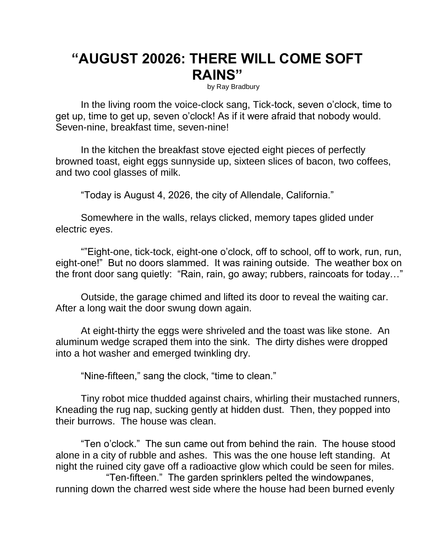## **"AUGUST 20026: THERE WILL COME SOFT RAINS"**

by Ray Bradbury

In the living room the voice-clock sang, Tick-tock, seven o'clock, time to get up, time to get up, seven o'clock! As if it were afraid that nobody would. Seven-nine, breakfast time, seven-nine!

In the kitchen the breakfast stove ejected eight pieces of perfectly browned toast, eight eggs sunnyside up, sixteen slices of bacon, two coffees, and two cool glasses of milk.

"Today is August 4, 2026, the city of Allendale, California."

Somewhere in the walls, relays clicked, memory tapes glided under electric eyes.

""Eight-one, tick-tock, eight-one o'clock, off to school, off to work, run, run, eight-one!" But no doors slammed. It was raining outside. The weather box on the front door sang quietly: "Rain, rain, go away; rubbers, raincoats for today…"

Outside, the garage chimed and lifted its door to reveal the waiting car. After a long wait the door swung down again.

At eight-thirty the eggs were shriveled and the toast was like stone. An aluminum wedge scraped them into the sink. The dirty dishes were dropped into a hot washer and emerged twinkling dry.

"Nine-fifteen," sang the clock, "time to clean."

Tiny robot mice thudded against chairs, whirling their mustached runners, Kneading the rug nap, sucking gently at hidden dust. Then, they popped into their burrows. The house was clean.

"Ten o'clock." The sun came out from behind the rain. The house stood alone in a city of rubble and ashes. This was the one house left standing. At night the ruined city gave off a radioactive glow which could be seen for miles. "Ten-fifteen." The garden sprinklers pelted the windowpanes, running down the charred west side where the house had been burned evenly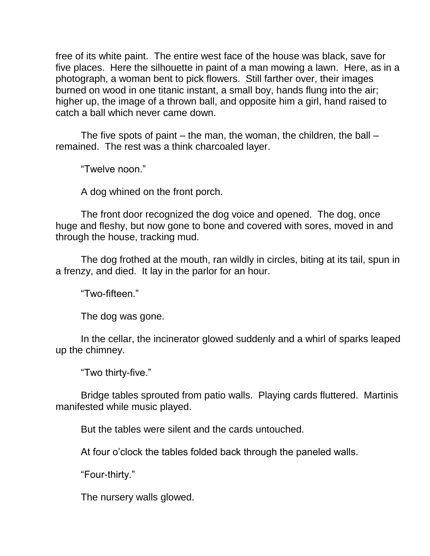free of its white paint. The entire west face of the house was black, save for five places. Here the silhouette in paint of a man mowing a lawn. Here, as in a photograph, a woman bent to pick flowers. Still farther over, their images burned on wood in one titanic instant, a small boy, hands flung into the air; higher up, the image of a thrown ball, and opposite him a girl, hand raised to catch a ball which never came down.

The five spots of paint  $-$  the man, the woman, the children, the ball  $$ remained. The rest was a think charcoaled layer.

"Twelve noon."

A dog whined on the front porch.

The front door recognized the dog voice and opened. The dog, once huge and fleshy, but now gone to bone and covered with sores, moved in and through the house, tracking mud.

The dog frothed at the mouth, ran wildly in circles, biting at its tail, spun in a frenzy, and died. It lay in the parlor for an hour.

"Two-fifteen."

The dog was gone.

In the cellar, the incinerator glowed suddenly and a whirl of sparks leaped up the chimney.

"Two thirty-five."

Bridge tables sprouted from patio walls. Playing cards fluttered. Martinis manifested while music played.

But the tables were silent and the cards untouched.

At four o'clock the tables folded back through the paneled walls.

"Four-thirty."

The nursery walls glowed.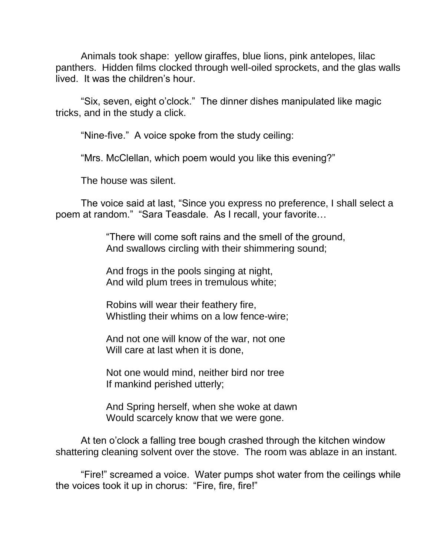Animals took shape: yellow giraffes, blue lions, pink antelopes, lilac panthers. Hidden films clocked through well-oiled sprockets, and the glas walls lived. It was the children's hour.

"Six, seven, eight o'clock." The dinner dishes manipulated like magic tricks, and in the study a click.

"Nine-five." A voice spoke from the study ceiling:

"Mrs. McClellan, which poem would you like this evening?"

The house was silent.

The voice said at last, "Since you express no preference, I shall select a poem at random." "Sara Teasdale. As I recall, your favorite…

> "There will come soft rains and the smell of the ground, And swallows circling with their shimmering sound;

And frogs in the pools singing at night, And wild plum trees in tremulous white;

Robins will wear their feathery fire, Whistling their whims on a low fence-wire;

And not one will know of the war, not one Will care at last when it is done,

Not one would mind, neither bird nor tree If mankind perished utterly;

And Spring herself, when she woke at dawn Would scarcely know that we were gone.

At ten o'clock a falling tree bough crashed through the kitchen window shattering cleaning solvent over the stove. The room was ablaze in an instant.

"Fire!" screamed a voice. Water pumps shot water from the ceilings while the voices took it up in chorus: "Fire, fire, fire!"